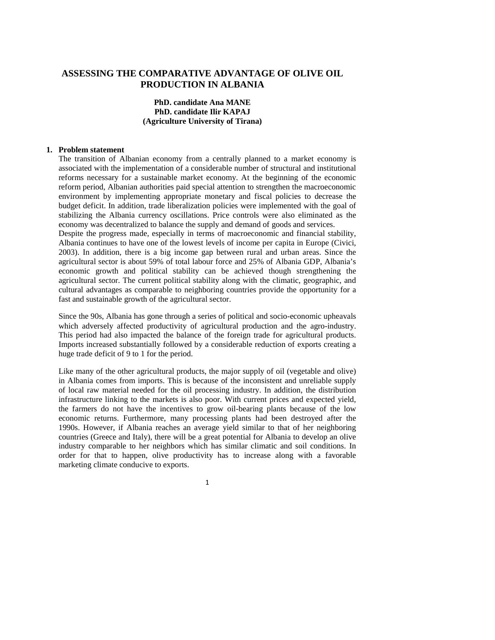# **ASSESSING THE COMPARATIVE ADVANTAGE OF OLIVE OIL PRODUCTION IN ALBANIA**

# **PhD. candidate Ana MANE PhD. candidate Ilir KAPAJ (Agriculture University of Tirana)**

#### **1. Problem statement**

The transition of Albanian economy from a centrally planned to a market economy is associated with the implementation of a considerable number of structural and institutional reforms necessary for a sustainable market economy. At the beginning of the economic reform period, Albanian authorities paid special attention to strengthen the macroeconomic environment by implementing appropriate monetary and fiscal policies to decrease the budget deficit. In addition, trade liberalization policies were implemented with the goal of stabilizing the Albania currency oscillations. Price controls were also eliminated as the economy was decentralized to balance the supply and demand of goods and services.

Despite the progress made, especially in terms of macroeconomic and financial stability, Albania continues to have one of the lowest levels of income per capita in Europe (Civici, 2003). In addition, there is a big income gap between rural and urban areas. Since the agricultural sector is about 59% of total labour force and 25% of Albania GDP, Albania's economic growth and political stability can be achieved though strengthening the agricultural sector. The current political stability along with the climatic, geographic, and cultural advantages as comparable to neighboring countries provide the opportunity for a fast and sustainable growth of the agricultural sector.

Since the 90s, Albania has gone through a series of political and socio-economic upheavals which adversely affected productivity of agricultural production and the agro-industry. This period had also impacted the balance of the foreign trade for agricultural products. Imports increased substantially followed by a considerable reduction of exports creating a huge trade deficit of 9 to 1 for the period.

Like many of the other agricultural products, the major supply of oil (vegetable and olive) in Albania comes from imports. This is because of the inconsistent and unreliable supply of local raw material needed for the oil processing industry. In addition, the distribution infrastructure linking to the markets is also poor. With current prices and expected yield, the farmers do not have the incentives to grow oil-bearing plants because of the low economic returns. Furthermore, many processing plants had been destroyed after the 1990s. However, if Albania reaches an average yield similar to that of her neighboring countries (Greece and Italy), there will be a great potential for Albania to develop an olive industry comparable to her neighbors which has similar climatic and soil conditions. In order for that to happen, olive productivity has to increase along with a favorable marketing climate conducive to exports.

1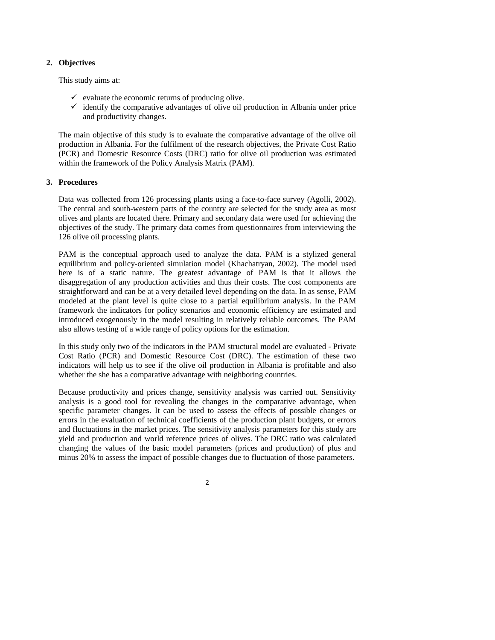# **2. Objectives**

This study aims at:

- $\checkmark$  evaluate the economic returns of producing olive.
- $\checkmark$  identify the comparative advantages of olive oil production in Albania under price and productivity changes.

The main objective of this study is to evaluate the comparative advantage of the olive oil production in Albania. For the fulfilment of the research objectives, the Private Cost Ratio (PCR) and Domestic Resource Costs (DRC) ratio for olive oil production was estimated within the framework of the Policy Analysis Matrix (PAM).

# **3. Procedures**

Data was collected from 126 processing plants using a face-to-face survey (Agolli, 2002). The central and south-western parts of the country are selected for the study area as most olives and plants are located there. Primary and secondary data were used for achieving the objectives of the study. The primary data comes from questionnaires from interviewing the 126 olive oil processing plants.

PAM is the conceptual approach used to analyze the data. PAM is a stylized general equilibrium and policy-oriented simulation model (Khachatryan, 2002). The model used here is of a static nature. The greatest advantage of PAM is that it allows the disaggregation of any production activities and thus their costs. The cost components are straightforward and can be at a very detailed level depending on the data. In as sense, PAM modeled at the plant level is quite close to a partial equilibrium analysis. In the PAM framework the indicators for policy scenarios and economic efficiency are estimated and introduced exogenously in the model resulting in relatively reliable outcomes. The PAM also allows testing of a wide range of policy options for the estimation.

In this study only two of the indicators in the PAM structural model are evaluated - Private Cost Ratio (PCR) and Domestic Resource Cost (DRC). The estimation of these two indicators will help us to see if the olive oil production in Albania is profitable and also whether the she has a comparative advantage with neighboring countries.

Because productivity and prices change, sensitivity analysis was carried out. Sensitivity analysis is a good tool for revealing the changes in the comparative advantage, when specific parameter changes. It can be used to assess the effects of possible changes or errors in the evaluation of technical coefficients of the production plant budgets, or errors and fluctuations in the market prices. The sensitivity analysis parameters for this study are yield and production and world reference prices of olives. The DRC ratio was calculated changing the values of the basic model parameters (prices and production) of plus and minus 20% to assess the impact of possible changes due to fluctuation of those parameters.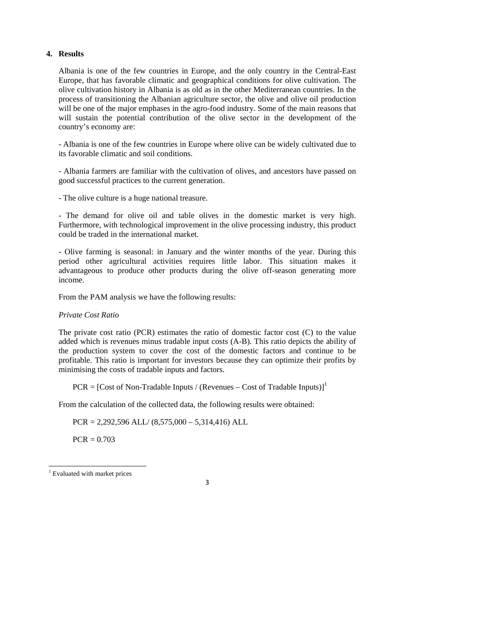# **4. Results**

Albania is one of the few countries in Europe, and the only country in the Central-East Europe, that has favorable climatic and geographical conditions for olive cultivation. The olive cultivation history in Albania is as old as in the other Mediterranean countries. In the process of transitioning the Albanian agriculture sector, the olive and olive oil production will be one of the major emphases in the agro-food industry. Some of the main reasons that will sustain the potential contribution of the olive sector in the development of the country's economy are:

- Albania is one of the few countries in Europe where olive can be widely cultivated due to its favorable climatic and soil conditions.

- Albania farmers are familiar with the cultivation of olives, and ancestors have passed on good successful practices to the current generation.

- The olive culture is a huge national treasure.

- The demand for olive oil and table olives in the domestic market is very high. Furthermore, with technological improvement in the olive processing industry, this product could be traded in the international market.

- Olive farming is seasonal: in January and the winter months of the year. During this period other agricultural activities requires little labor. This situation makes it advantageous to produce other products during the olive off-season generating more income.

From the PAM analysis we have the following results:

### *Private Cost Ratio*

The private cost ratio (PCR) estimates the ratio of domestic factor cost (C) to the value added which is revenues minus tradable input costs (A-B). This ratio depicts the ability of the production system to cover the cost of the domestic factors and continue to be profitable. This ratio is important for investors because they can optimize their profits by minimising the costs of tradable inputs and factors.

 $PCR = [Cost of Non-Tradable Inputs / (Revenues - Cost of Tradable Inputs)]<sup>1</sup>$ 

From the calculation of the collected data, the following results were obtained:

 $PCR = 2,292,596 ALL / (8,575,000 - 5,314,416) ALL$ 

 $PCR = 0.703$ 

.

3

<sup>&</sup>lt;sup>1</sup> Evaluated with market prices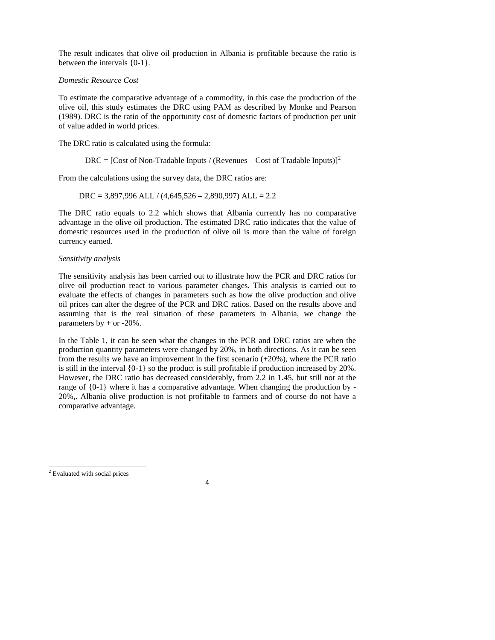The result indicates that olive oil production in Albania is profitable because the ratio is between the intervals {0-1}.

# *Domestic Resource Cost*

To estimate the comparative advantage of a commodity, in this case the production of the olive oil, this study estimates the DRC using PAM as described by Monke and Pearson (1989). DRC is the ratio of the opportunity cost of domestic factors of production per unit of value added in world prices.

The DRC ratio is calculated using the formula:

DRC =  $[Cost of Non-Tradable Inputs / (Revenues - Cost of Tradable Inputs)]^2$ 

From the calculations using the survey data, the DRC ratios are:

 $DRC = 3,897,996 ALL / (4,645,526 - 2,890,997) ALL = 2.2$ 

The DRC ratio equals to 2.2 which shows that Albania currently has no comparative advantage in the olive oil production. The estimated DRC ratio indicates that the value of domestic resources used in the production of olive oil is more than the value of foreign currency earned.

# *Sensitivity analysis*

The sensitivity analysis has been carried out to illustrate how the PCR and DRC ratios for olive oil production react to various parameter changes. This analysis is carried out to evaluate the effects of changes in parameters such as how the olive production and olive oil prices can alter the degree of the PCR and DRC ratios. Based on the results above and assuming that is the real situation of these parameters in Albania, we change the parameters by + or **-**20%.

In the Table 1, it can be seen what the changes in the PCR and DRC ratios are when the production quantity parameters were changed by 20%, in both directions. As it can be seen from the results we have an improvement in the first scenario (+20%), where the PCR ratio is still in the interval {0-1} so the product is still profitable if production increased by 20%. However, the DRC ratio has decreased considerably, from 2.2 in 1.45, but still not at the range of {0-1} where it has a comparative advantage. When changing the production by - 20%,. Albania olive production is not profitable to farmers and of course do not have a comparative advantage.

4

.

<sup>&</sup>lt;sup>2</sup> Evaluated with social prices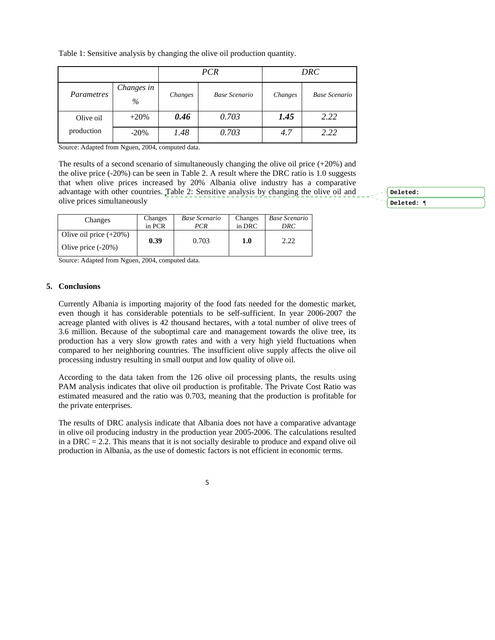|            |                    | <b>PCR</b> |                      | DRC     |               |
|------------|--------------------|------------|----------------------|---------|---------------|
| Parametres | Changes in<br>$\%$ | Changes    | <b>Base Scenario</b> | Changes | Base Scenario |
| Olive oil  | $+20%$             | 0.46       | 0.703                | 1.45    | 2.22          |
| production | $-20%$             | 1.48       | 0.703                | 4.7     | 2.22          |

Table 1: Sensitive analysis by changing the olive oil production quantity.

Source: Adapted from Nguen, 2004, computed data.

The results of a second scenario of simultaneously changing the olive oil price (+20%) and the olive price (-20%) can be seen in Table 2. A result where the DRC ratio is 1.0 suggests that when olive prices increased by 20% Albania olive industry has a comparative advantage with other countries. Table 2: Sensitive analysis by changing the olive oil and olive prices simultaneously

| Changes                                           | Changes | <b>Base Scenario</b> | Changes | <b>Base Scenario</b> |
|---------------------------------------------------|---------|----------------------|---------|----------------------|
|                                                   | in PCR  | PCR                  | in DRC  | DRC                  |
| Olive oil price $(+20\%)$<br>Olive price $(-20%)$ | 0.39    | 0.703                | $1.0\,$ | 2.22                 |

Source: Adapted from Nguen, 2004, computed data.

#### **5. Conclusions**

Currently Albania is importing majority of the food fats needed for the domestic market, even though it has considerable potentials to be self-sufficient. In year 2006-2007 the acreage planted with olives is 42 thousand hectares, with a total number of olive trees of 3.6 million. Because of the suboptimal care and management towards the olive tree, its production has a very slow growth rates and with a very high yield fluctuations when compared to her neighboring countries. The insufficient olive supply affects the olive oil processing industry resulting in small output and low quality of olive oil.

According to the data taken from the 126 olive oil processing plants, the results using PAM analysis indicates that olive oil production is profitable. The Private Cost Ratio was estimated measured and the ratio was 0.703, meaning that the production is profitable for the private enterprises.

The results of DRC analysis indicate that Albania does not have a comparative advantage in olive oil producing industry in the production year 2005-2006. The calculations resulted in a  $DRC = 2.2$ . This means that it is not socially desirable to produce and expand olive oil production in Albania, as the use of domestic factors is not efficient in economic terms.

5

**Deleted: Deleted:** ¶